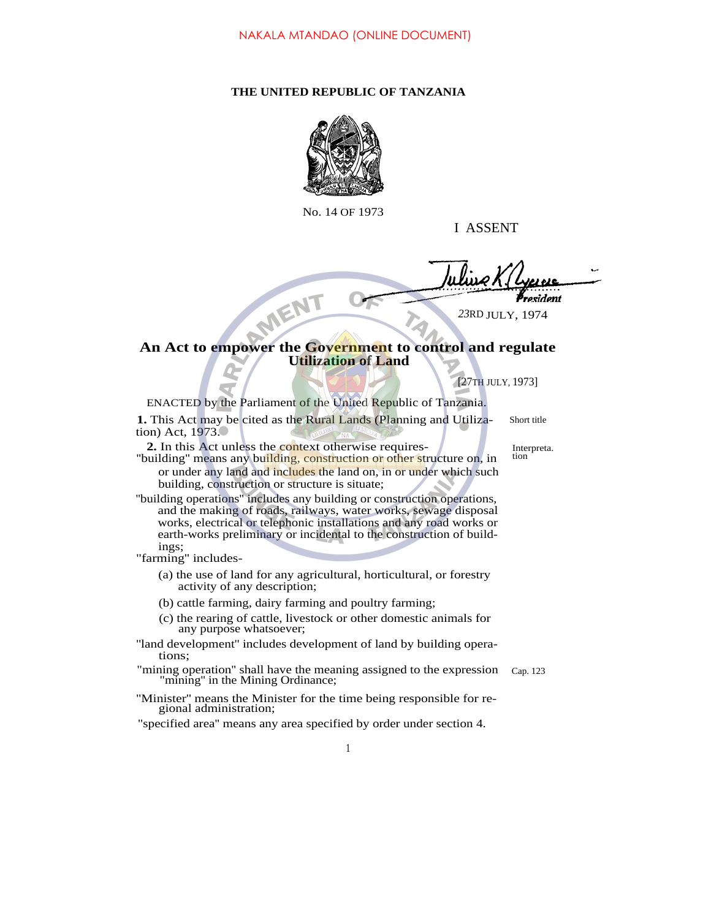## **THE UNITED REPUBLIC OF TANZANIA**



No. 14 OF 1973

I ASSENT

resident

*23*RD JULY, 1974

## **An Act to empower the Government to control and regulate Utilization of Land**

[27TH JULY, 1973]

ENACTED by the Parliament of the United Republic of Tanzania.

**1.** This Act may be cited as the Rural Lands (Planning and Utilization) Act, 1973. Short title

2. In this Act unless the context otherwise requires-<br>
unilding the construction of other structure on in tion

MENT

- "building" means any building, construction or other structure on, in or under any land and includes the land on, in or under which such building, construction or structure is situate;
- ''building operations'' includes any building or construction operations, and the making of roads, railways, water works, sewage disposal works, electrical or telephonic installations and any road works or earth-works preliminary or incidental to the construction of buildings;

"farming'' includes-

- (a) the use of land for any agricultural, horticultural, or forestry activity of any description;
- (b) cattle farming, dairy farming and poultry farming;
- (c) the rearing of cattle, livestock or other domestic animals for any purpose whatsoever;
- "land development" includes development of land by building operations;
- "mining operation'' shall have the meaning assigned to the expression "mining'' in the Mining Ordinance; Cap. 123
- ''Minister'' means the Minister for the time being responsible for regional administration;
- "specified area'' means any area specified by order under section 4.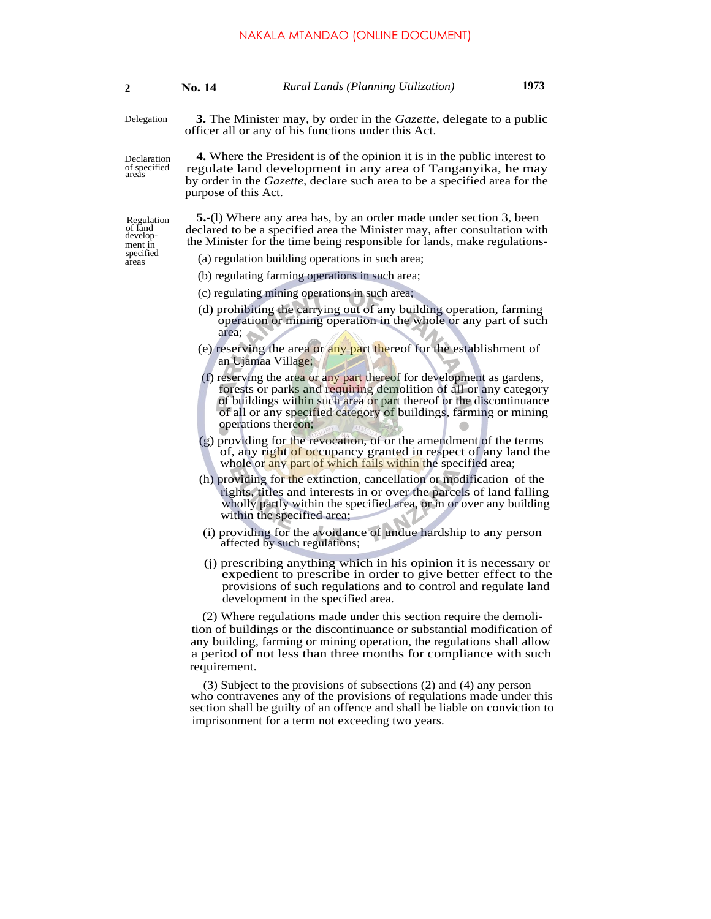| 2                                                                  | <b>No. 14</b>                                                                                                                                                                                                                                                                                                                                                                                                                                                                                                                                               | Rural Lands (Planning Utilization)                                                                                                                                                                                                                                                       | 1973 |  |                                                                                                                                                                                                                                                   |  |
|--------------------------------------------------------------------|-------------------------------------------------------------------------------------------------------------------------------------------------------------------------------------------------------------------------------------------------------------------------------------------------------------------------------------------------------------------------------------------------------------------------------------------------------------------------------------------------------------------------------------------------------------|------------------------------------------------------------------------------------------------------------------------------------------------------------------------------------------------------------------------------------------------------------------------------------------|------|--|---------------------------------------------------------------------------------------------------------------------------------------------------------------------------------------------------------------------------------------------------|--|
| Delegation                                                         | <b>3.</b> The Minister may, by order in the <i>Gazette</i> , delegate to a public<br>officer all or any of his functions under this Act.                                                                                                                                                                                                                                                                                                                                                                                                                    |                                                                                                                                                                                                                                                                                          |      |  |                                                                                                                                                                                                                                                   |  |
| Declaration<br>of specified<br>areás                               | 4. Where the President is of the opinion it is in the public interest to<br>regulate land development in any area of Tanganyika, he may<br>by order in the <i>Gazette</i> , declare such area to be a specified area for the<br>purpose of this Act.                                                                                                                                                                                                                                                                                                        |                                                                                                                                                                                                                                                                                          |      |  |                                                                                                                                                                                                                                                   |  |
| Regulation<br>of land<br>develop-<br>ment in<br>specified<br>areas | <b>5.</b> -(1) Where any area has, by an order made under section 3, been<br>declared to be a specified area the Minister may, after consultation with<br>the Minister for the time being responsible for lands, make regulations-                                                                                                                                                                                                                                                                                                                          |                                                                                                                                                                                                                                                                                          |      |  |                                                                                                                                                                                                                                                   |  |
|                                                                    | (a) regulation building operations in such area;                                                                                                                                                                                                                                                                                                                                                                                                                                                                                                            |                                                                                                                                                                                                                                                                                          |      |  |                                                                                                                                                                                                                                                   |  |
|                                                                    | (b) regulating farming operations in such area;                                                                                                                                                                                                                                                                                                                                                                                                                                                                                                             |                                                                                                                                                                                                                                                                                          |      |  |                                                                                                                                                                                                                                                   |  |
|                                                                    | (c) regulating mining operations in such area;                                                                                                                                                                                                                                                                                                                                                                                                                                                                                                              |                                                                                                                                                                                                                                                                                          |      |  |                                                                                                                                                                                                                                                   |  |
|                                                                    | (d) prohibiting the carrying out of any building operation, farming<br>operation or mining operation in the whole or any part of such<br>area:<br>(e) reserving the area or any part thereof for the establishment of<br>an Ujamaa Village;<br>(f) reserving the area or any part thereof for development as gardens,<br>forests or parks and requiring demolition of all or any category<br>of buildings within such area or part thereof or the discontinuance<br>of all or any specified category of buildings, farming or mining<br>operations thereon; |                                                                                                                                                                                                                                                                                          |      |  |                                                                                                                                                                                                                                                   |  |
|                                                                    |                                                                                                                                                                                                                                                                                                                                                                                                                                                                                                                                                             |                                                                                                                                                                                                                                                                                          |      |  | (g) providing for the revocation, of or the amendment of the terms<br>of, any right of occupancy granted in respect of any land the<br>whole or any part of which fails within the specified area;                                                |  |
|                                                                    |                                                                                                                                                                                                                                                                                                                                                                                                                                                                                                                                                             |                                                                                                                                                                                                                                                                                          |      |  | (h) providing for the extinction, cancellation or modification of the<br>rights, titles and interests in or over the parcels of land falling<br>wholly partly within the specified area, or in or over any building<br>within the specified area; |  |
|                                                                    |                                                                                                                                                                                                                                                                                                                                                                                                                                                                                                                                                             | (i) providing for the avoidance of undue hardship to any person<br>affected by such regulations;                                                                                                                                                                                         |      |  |                                                                                                                                                                                                                                                   |  |
|                                                                    |                                                                                                                                                                                                                                                                                                                                                                                                                                                                                                                                                             | (j) prescribing anything which in his opinion it is necessary or<br>expedient to prescribe in order to give better effect to the<br>provisions of such regulations and to control and regulate land<br>development in the specified area.                                                |      |  |                                                                                                                                                                                                                                                   |  |
|                                                                    | requirement.                                                                                                                                                                                                                                                                                                                                                                                                                                                                                                                                                | (2) Where regulations made under this section require the demoli-<br>tion of buildings or the discontinuance or substantial modification of<br>any building, farming or mining operation, the regulations shall allow<br>a period of not less than three months for compliance with such |      |  |                                                                                                                                                                                                                                                   |  |
|                                                                    |                                                                                                                                                                                                                                                                                                                                                                                                                                                                                                                                                             | $(3)$ Subject to the provisions of subsections $(2)$ and $(4)$ any person<br>who contravenes any of the provisions of regulations made under this<br>section shall be guilty of an offence and shall be liable on conviction to<br>imprisonment for a term not exceeding two years.      |      |  |                                                                                                                                                                                                                                                   |  |